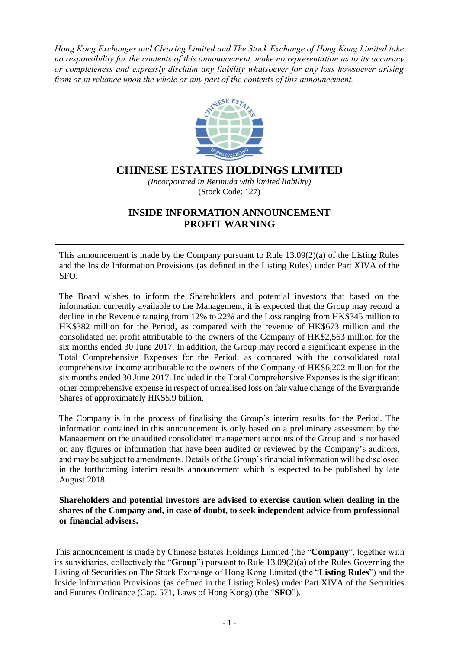*Hong Kong Exchanges and Clearing Limited and The Stock Exchange of Hong Kong Limited take no responsibility for the contents of this announcement, make no representation as to its accuracy or completeness and expressly disclaim any liability whatsoever for any loss howsoever arising from or in reliance upon the whole or any part of the contents of this announcement.*



## **CHINESE ESTATES HOLDINGS LIMITED**

*(Incorporated in Bermuda with limited liability)* (Stock Code: 127)

## **INSIDE INFORMATION ANNOUNCEMENT PROFIT WARNING**

This announcement is made by the Company pursuant to Rule 13.09(2)(a) of the Listing Rules and the Inside Information Provisions (as defined in the Listing Rules) under Part XIVA of the SFO.

The Board wishes to inform the Shareholders and potential investors that based on the information currently available to the Management, it is expected that the Group may record a decline in the Revenue ranging from 12% to 22% and the Loss ranging from HK\$345 million to HK\$382 million for the Period, as compared with the revenue of HK\$673 million and the consolidated net profit attributable to the owners of the Company of HK\$2,563 million for the six months ended 30 June 2017. In addition, the Group may record a significant expense in the Total Comprehensive Expenses for the Period, as compared with the consolidated total comprehensive income attributable to the owners of the Company of HK\$6,202 million for the six months ended 30 June 2017. Included in the Total Comprehensive Expenses is the significant other comprehensive expense in respect of unrealised loss on fair value change of the Evergrande Shares of approximately HK\$5.9 billion.

The Company is in the process of finalising the Group's interim results for the Period. The information contained in this announcement is only based on a preliminary assessment by the Management on the unaudited consolidated management accounts of the Group and is not based on any figures or information that have been audited or reviewed by the Company's auditors, and may be subject to amendments. Details of the Group's financial information will be disclosed in the forthcoming interim results announcement which is expected to be published by late August 2018.

**Shareholders and potential investors are advised to exercise caution when dealing in the shares of the Company and, in case of doubt, to seek independent advice from professional or financial advisers.**

This announcement is made by Chinese Estates Holdings Limited (the "**Company**", together with its subsidiaries, collectively the "**Group**") pursuant to Rule 13.09(2)(a) of the Rules Governing the Listing of Securities on The Stock Exchange of Hong Kong Limited (the "**Listing Rules**") and the Inside Information Provisions (as defined in the Listing Rules) under Part XIVA of the Securities and Futures Ordinance (Cap. 571, Laws of Hong Kong) (the "**SFO**").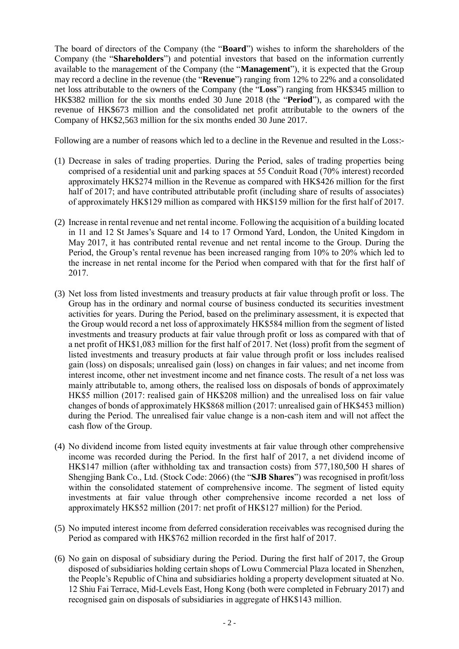The board of directors of the Company (the "**Board**") wishes to inform the shareholders of the Company (the "**Shareholders**") and potential investors that based on the information currently available to the management of the Company (the "**Management**"), it is expected that the Group may record a decline in the revenue (the "**Revenue**") ranging from 12% to 22% and a consolidated net loss attributable to the owners of the Company (the "**Loss**") ranging from HK\$345 million to HK\$382 million for the six months ended 30 June 2018 (the "**Period**"), as compared with the revenue of HK\$673 million and the consolidated net profit attributable to the owners of the Company of HK\$2,563 million for the six months ended 30 June 2017.

Following are a number of reasons which led to a decline in the Revenue and resulted in the Loss:-

- (1) Decrease in sales of trading properties. During the Period, sales of trading properties being comprised of a residential unit and parking spaces at 55 Conduit Road (70% interest) recorded approximately HK\$274 million in the Revenue as compared with HK\$426 million for the first half of 2017; and have contributed attributable profit (including share of results of associates) of approximately HK\$129 million as compared with HK\$159 million for the first half of 2017.
- (2) Increase in rental revenue and net rental income. Following the acquisition of a building located in 11 and 12 St James's Square and 14 to 17 Ormond Yard, London, the United Kingdom in May 2017, it has contributed rental revenue and net rental income to the Group. During the Period, the Group's rental revenue has been increased ranging from 10% to 20% which led to the increase in net rental income for the Period when compared with that for the first half of 2017.
- (3) Net loss from listed investments and treasury products at fair value through profit or loss. The Group has in the ordinary and normal course of business conducted its securities investment activities for years. During the Period, based on the preliminary assessment, it is expected that the Group would record a net loss of approximately HK\$584 million from the segment of listed investments and treasury products at fair value through profit or loss as compared with that of a net profit of HK\$1,083 million for the first half of 2017. Net (loss) profit from the segment of listed investments and treasury products at fair value through profit or loss includes realised gain (loss) on disposals; unrealised gain (loss) on changes in fair values; and net income from interest income, other net investment income and net finance costs. The result of a net loss was mainly attributable to, among others, the realised loss on disposals of bonds of approximately HK\$5 million (2017: realised gain of HK\$208 million) and the unrealised loss on fair value changes of bonds of approximately HK\$868 million (2017: unrealised gain of HK\$453 million) during the Period. The unrealised fair value change is a non-cash item and will not affect the cash flow of the Group.
- (4) No dividend income from listed equity investments at fair value through other comprehensive income was recorded during the Period. In the first half of 2017, a net dividend income of HK\$147 million (after withholding tax and transaction costs) from 577,180,500 H shares of Shengjing Bank Co., Ltd. (Stock Code: 2066) (the "**SJB Shares**") was recognised in profit/loss within the consolidated statement of comprehensive income. The segment of listed equity investments at fair value through other comprehensive income recorded a net loss of approximately HK\$52 million (2017: net profit of HK\$127 million) for the Period.
- (5) No imputed interest income from deferred consideration receivables was recognised during the Period as compared with HK\$762 million recorded in the first half of 2017.
- (6) No gain on disposal of subsidiary during the Period. During the first half of 2017, the Group disposed of subsidiaries holding certain shops of Lowu Commercial Plaza located in Shenzhen, the People's Republic of China and subsidiaries holding a property development situated at No. 12 Shiu Fai Terrace, Mid-Levels East, Hong Kong (both were completed in February 2017) and recognised gain on disposals of subsidiaries in aggregate of HK\$143 million.